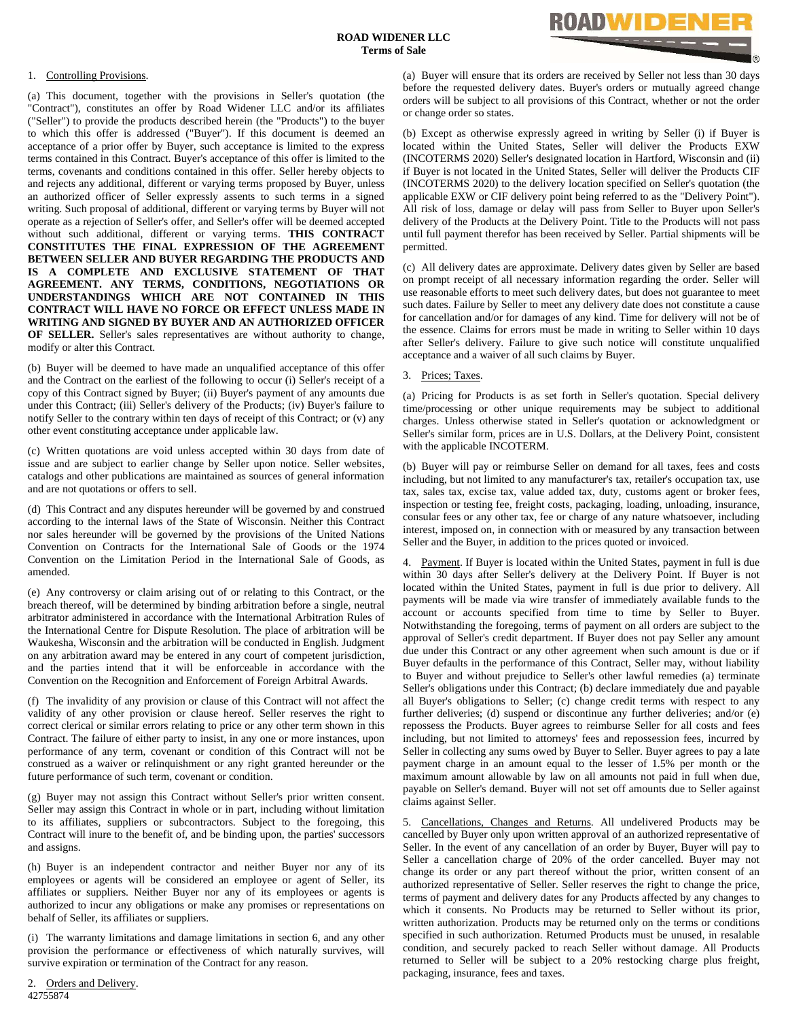

## 1. Controlling Provisions.

(a) This document, together with the provisions in Seller's quotation (the "Contract"), constitutes an offer by Road Widener LLC and/or its affiliates ("Seller") to provide the products described herein (the "Products") to the buyer to which this offer is addressed ("Buyer"). If this document is deemed an acceptance of a prior offer by Buyer, such acceptance is limited to the express terms contained in this Contract. Buyer's acceptance of this offer is limited to the terms, covenants and conditions contained in this offer. Seller hereby objects to and rejects any additional, different or varying terms proposed by Buyer, unless an authorized officer of Seller expressly assents to such terms in a signed writing. Such proposal of additional, different or varying terms by Buyer will not operate as a rejection of Seller's offer, and Seller's offer will be deemed accepted without such additional, different or varying terms. **THIS CONTRACT CONSTITUTES THE FINAL EXPRESSION OF THE AGREEMENT BETWEEN SELLER AND BUYER REGARDING THE PRODUCTS AND IS A COMPLETE AND EXCLUSIVE STATEMENT OF THAT AGREEMENT. ANY TERMS, CONDITIONS, NEGOTIATIONS OR UNDERSTANDINGS WHICH ARE NOT CONTAINED IN THIS CONTRACT WILL HAVE NO FORCE OR EFFECT UNLESS MADE IN WRITING AND SIGNED BY BUYER AND AN AUTHORIZED OFFICER OF SELLER.** Seller's sales representatives are without authority to change, modify or alter this Contract.

(b) Buyer will be deemed to have made an unqualified acceptance of this offer and the Contract on the earliest of the following to occur (i) Seller's receipt of a copy of this Contract signed by Buyer; (ii) Buyer's payment of any amounts due under this Contract; (iii) Seller's delivery of the Products; (iv) Buyer's failure to notify Seller to the contrary within ten days of receipt of this Contract; or (v) any other event constituting acceptance under applicable law.

(c) Written quotations are void unless accepted within 30 days from date of issue and are subject to earlier change by Seller upon notice. Seller websites, catalogs and other publications are maintained as sources of general information and are not quotations or offers to sell.

(d) This Contract and any disputes hereunder will be governed by and construed according to the internal laws of the State of Wisconsin. Neither this Contract nor sales hereunder will be governed by the provisions of the United Nations Convention on Contracts for the International Sale of Goods or the 1974 Convention on the Limitation Period in the International Sale of Goods, as amended.

(e) Any controversy or claim arising out of or relating to this Contract, or the breach thereof, will be determined by binding arbitration before a single, neutral arbitrator administered in accordance with the International Arbitration Rules of the International Centre for Dispute Resolution. The place of arbitration will be Waukesha, Wisconsin and the arbitration will be conducted in English. Judgment on any arbitration award may be entered in any court of competent jurisdiction, and the parties intend that it will be enforceable in accordance with the Convention on the Recognition and Enforcement of Foreign Arbitral Awards.

(f) The invalidity of any provision or clause of this Contract will not affect the validity of any other provision or clause hereof. Seller reserves the right to correct clerical or similar errors relating to price or any other term shown in this Contract. The failure of either party to insist, in any one or more instances, upon performance of any term, covenant or condition of this Contract will not be construed as a waiver or relinquishment or any right granted hereunder or the future performance of such term, covenant or condition.

(g) Buyer may not assign this Contract without Seller's prior written consent. Seller may assign this Contract in whole or in part, including without limitation to its affiliates, suppliers or subcontractors. Subject to the foregoing, this Contract will inure to the benefit of, and be binding upon, the parties' successors and assigns.

(h) Buyer is an independent contractor and neither Buyer nor any of its employees or agents will be considered an employee or agent of Seller, its affiliates or suppliers. Neither Buyer nor any of its employees or agents is authorized to incur any obligations or make any promises or representations on behalf of Seller, its affiliates or suppliers.

(i) The warranty limitations and damage limitations in section 6, and any other provision the performance or effectiveness of which naturally survives, will survive expiration or termination of the Contract for any reason.

42755874 2. Orders and Delivery. (a) Buyer will ensure that its orders are received by Seller not less than 30 days before the requested delivery dates. Buyer's orders or mutually agreed change orders will be subject to all provisions of this Contract, whether or not the order or change order so states.

(b) Except as otherwise expressly agreed in writing by Seller (i) if Buyer is located within the United States, Seller will deliver the Products EXW (INCOTERMS 2020) Seller's designated location in Hartford, Wisconsin and (ii) if Buyer is not located in the United States, Seller will deliver the Products CIF (INCOTERMS 2020) to the delivery location specified on Seller's quotation (the applicable EXW or CIF delivery point being referred to as the "Delivery Point"). All risk of loss, damage or delay will pass from Seller to Buyer upon Seller's delivery of the Products at the Delivery Point. Title to the Products will not pass until full payment therefor has been received by Seller. Partial shipments will be permitted.

(c) All delivery dates are approximate. Delivery dates given by Seller are based on prompt receipt of all necessary information regarding the order. Seller will use reasonable efforts to meet such delivery dates, but does not guarantee to meet such dates. Failure by Seller to meet any delivery date does not constitute a cause for cancellation and/or for damages of any kind. Time for delivery will not be of the essence. Claims for errors must be made in writing to Seller within 10 days after Seller's delivery. Failure to give such notice will constitute unqualified acceptance and a waiver of all such claims by Buyer.

3. Prices; Taxes.

(a) Pricing for Products is as set forth in Seller's quotation. Special delivery time/processing or other unique requirements may be subject to additional charges. Unless otherwise stated in Seller's quotation or acknowledgment or Seller's similar form, prices are in U.S. Dollars, at the Delivery Point, consistent with the applicable INCOTERM.

(b) Buyer will pay or reimburse Seller on demand for all taxes, fees and costs including, but not limited to any manufacturer's tax, retailer's occupation tax, use tax, sales tax, excise tax, value added tax, duty, customs agent or broker fees, inspection or testing fee, freight costs, packaging, loading, unloading, insurance, consular fees or any other tax, fee or charge of any nature whatsoever, including interest, imposed on, in connection with or measured by any transaction between Seller and the Buyer, in addition to the prices quoted or invoiced.

4. Payment. If Buyer is located within the United States, payment in full is due within 30 days after Seller's delivery at the Delivery Point. If Buyer is not located within the United States, payment in full is due prior to delivery. All payments will be made via wire transfer of immediately available funds to the account or accounts specified from time to time by Seller to Buyer. Notwithstanding the foregoing, terms of payment on all orders are subject to the approval of Seller's credit department. If Buyer does not pay Seller any amount due under this Contract or any other agreement when such amount is due or if Buyer defaults in the performance of this Contract, Seller may, without liability to Buyer and without prejudice to Seller's other lawful remedies (a) terminate Seller's obligations under this Contract; (b) declare immediately due and payable all Buyer's obligations to Seller; (c) change credit terms with respect to any further deliveries; (d) suspend or discontinue any further deliveries; and/or (e) repossess the Products. Buyer agrees to reimburse Seller for all costs and fees including, but not limited to attorneys' fees and repossession fees, incurred by Seller in collecting any sums owed by Buyer to Seller. Buyer agrees to pay a late payment charge in an amount equal to the lesser of 1.5% per month or the maximum amount allowable by law on all amounts not paid in full when due, payable on Seller's demand. Buyer will not set off amounts due to Seller against claims against Seller.

5. Cancellations, Changes and Returns. All undelivered Products may be cancelled by Buyer only upon written approval of an authorized representative of Seller. In the event of any cancellation of an order by Buyer, Buyer will pay to Seller a cancellation charge of 20% of the order cancelled. Buyer may not change its order or any part thereof without the prior, written consent of an authorized representative of Seller. Seller reserves the right to change the price, terms of payment and delivery dates for any Products affected by any changes to which it consents. No Products may be returned to Seller without its prior, written authorization. Products may be returned only on the terms or conditions specified in such authorization. Returned Products must be unused, in resalable condition, and securely packed to reach Seller without damage. All Products returned to Seller will be subject to a 20% restocking charge plus freight, packaging, insurance, fees and taxes.